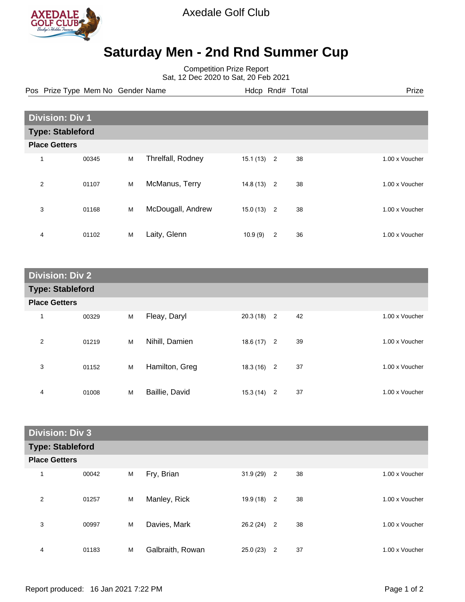

Axedale Golf Club

## **Saturday Men - 2nd Rnd Summer Cup**

Competition Prize Report Sat, 12 Dec 2020 to Sat, 20 Feb 2021

Pos Prize Type Mem No Gender Name **Hdcp Rnd# Total** Prize Prize

|                         | <b>Division: Div 1</b> |   |                   |          |                |    |  |                |
|-------------------------|------------------------|---|-------------------|----------|----------------|----|--|----------------|
| <b>Type: Stableford</b> |                        |   |                   |          |                |    |  |                |
| <b>Place Getters</b>    |                        |   |                   |          |                |    |  |                |
| 1                       | 00345                  | M | Threlfall, Rodney | 15.1(13) | $\overline{2}$ | 38 |  | 1.00 x Voucher |
| $\overline{2}$          | 01107                  | M | McManus, Terry    | 14.8(13) | $\overline{c}$ | 38 |  | 1.00 x Voucher |
| 3                       | 01168                  | M | McDougall, Andrew | 15.0(13) | $\overline{2}$ | 38 |  | 1.00 x Voucher |
| 4                       | 01102                  | M | Laity, Glenn      | 10.9(9)  | 2              | 36 |  | 1.00 x Voucher |

| <b>Division: Div 2</b>  |       |   |                |              |  |    |                |
|-------------------------|-------|---|----------------|--------------|--|----|----------------|
| <b>Type: Stableford</b> |       |   |                |              |  |    |                |
| <b>Place Getters</b>    |       |   |                |              |  |    |                |
| 1                       | 00329 | M | Fleay, Daryl   | $20.3(18)$ 2 |  | 42 | 1.00 x Voucher |
| 2                       | 01219 | M | Nihill, Damien | $18.6(17)$ 2 |  | 39 | 1.00 x Voucher |
| 3                       | 01152 | M | Hamilton, Greg | $18.3(16)$ 2 |  | 37 | 1.00 x Voucher |
| 4                       | 01008 | M | Baillie, David | $15.3(14)$ 2 |  | 37 | 1.00 x Voucher |

| <b>Division: Div 3</b> |                         |   |                  |              |   |    |                |  |
|------------------------|-------------------------|---|------------------|--------------|---|----|----------------|--|
|                        | <b>Type: Stableford</b> |   |                  |              |   |    |                |  |
| <b>Place Getters</b>   |                         |   |                  |              |   |    |                |  |
| 1                      | 00042                   | M | Fry, Brian       | $31.9(29)$ 2 |   | 38 | 1.00 x Voucher |  |
| 2                      | 01257                   | M | Manley, Rick     | $19.9(18)$ 2 |   | 38 | 1.00 x Voucher |  |
| 3                      | 00997                   | M | Davies, Mark     | $26.2(24)$ 2 |   | 38 | 1.00 x Voucher |  |
| 4                      | 01183                   | M | Galbraith, Rowan | 25.0(23)     | 2 | 37 | 1.00 x Voucher |  |